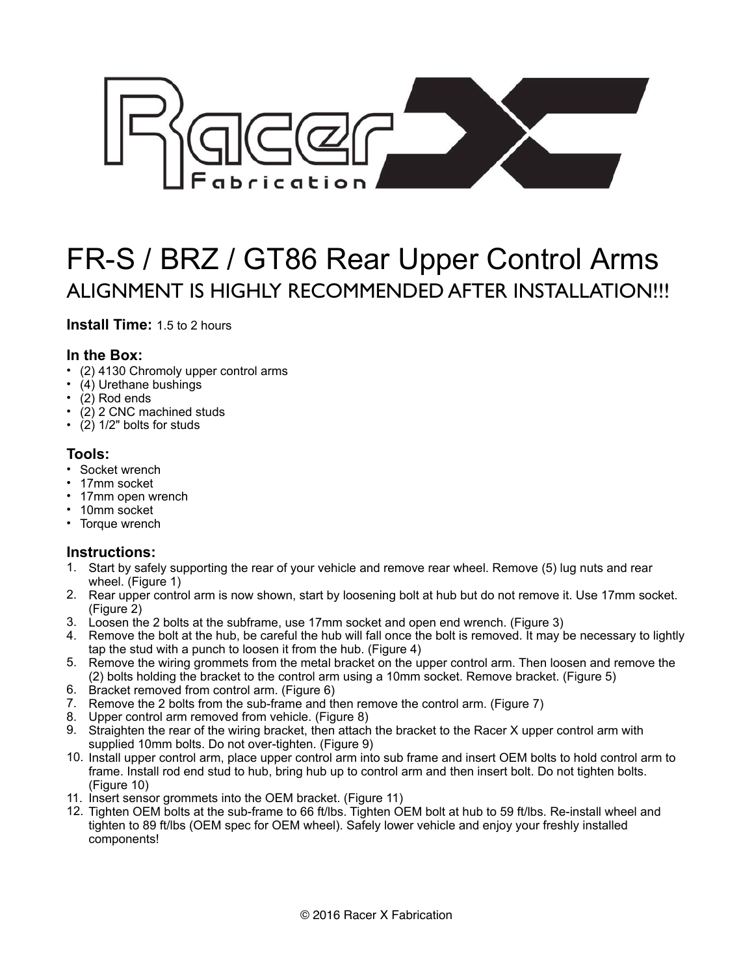

# FR-S / BRZ / GT86 Rear Upper Control Arms ALIGNMENT IS HIGHLY RECOMMENDED AFTER INSTALLATION!!!

**Install Time:** 1.5 to 2 hours

## **In the Box:**

- (2) 4130 Chromoly upper control arms
- (4) Urethane bushings
- (2) Rod ends
- (2) 2 CNC machined studs
- (2) 1/2" bolts for studs

## **Tools:**

- Socket wrench
- 17mm socket
- 17mm open wrench
- 10mm socket
- Torque wrench

## **Instructions:**

- 1. Start by safely supporting the rear of your vehicle and remove rear wheel. Remove (5) lug nuts and rear wheel. (Figure 1)
- 2. Rear upper control arm is now shown, start by loosening bolt at hub but do not remove it. Use 17mm socket. (Figure 2)
- 3. Loosen the 2 bolts at the subframe, use 17mm socket and open end wrench. (Figure 3)
- 4. Remove the bolt at the hub, be careful the hub will fall once the bolt is removed. It may be necessary to lightly tap the stud with a punch to loosen it from the hub. (Figure 4)
- 5. Remove the wiring grommets from the metal bracket on the upper control arm. Then loosen and remove the (2) bolts holding the bracket to the control arm using a 10mm socket. Remove bracket. (Figure 5)
- 6. Bracket removed from control arm. (Figure 6)
- 7. Remove the 2 bolts from the sub-frame and then remove the control arm. (Figure 7)
- 8. Upper control arm removed from vehicle. (Figure 8)
- 9. Straighten the rear of the wiring bracket, then attach the bracket to the Racer X upper control arm with supplied 10mm bolts. Do not over-tighten. (Figure 9)
- 10. Install upper control arm, place upper control arm into sub frame and insert OEM bolts to hold control arm to frame. Install rod end stud to hub, bring hub up to control arm and then insert bolt. Do not tighten bolts. (Figure 10)
- 11. Insert sensor grommets into the OEM bracket. (Figure 11)
- 12. Tighten OEM bolts at the sub-frame to 66 ft/lbs. Tighten OEM bolt at hub to 59 ft/lbs. Re-install wheel and tighten to 89 ft/lbs (OEM spec for OEM wheel). Safely lower vehicle and enjoy your freshly installed components!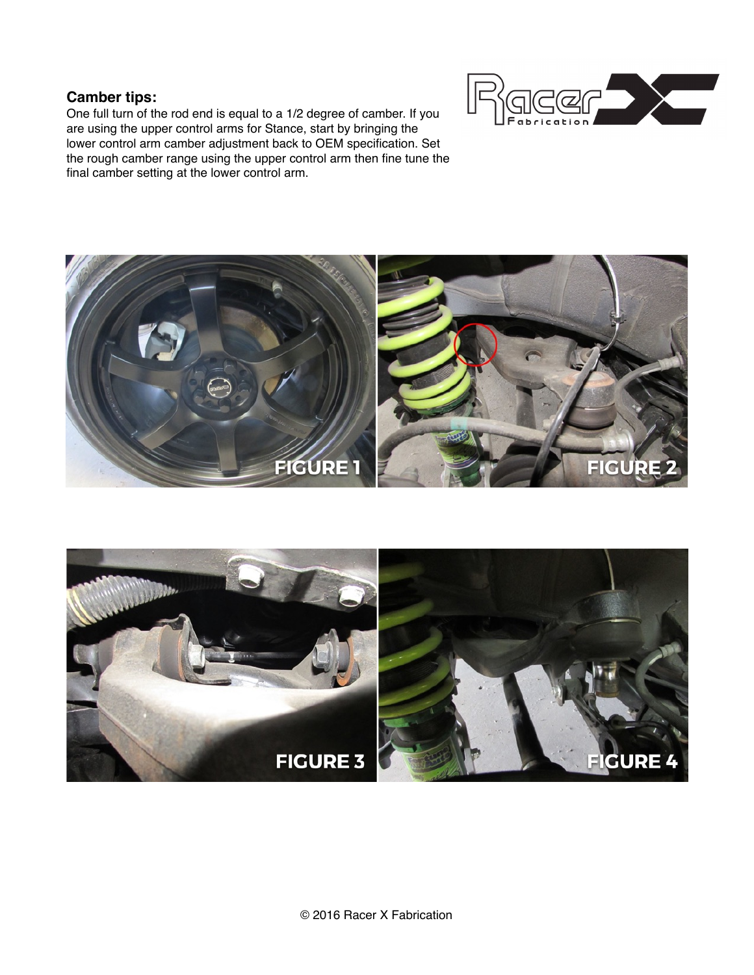## **Camber tips:**

One full turn of the rod end is equal to a 1/2 degree of camber. If you are using the upper control arms for Stance, start by bringing the lower control arm camber adjustment back to OEM specification. Set the rough camber range using the upper control arm then fine tune the final camber setting at the lower control arm.





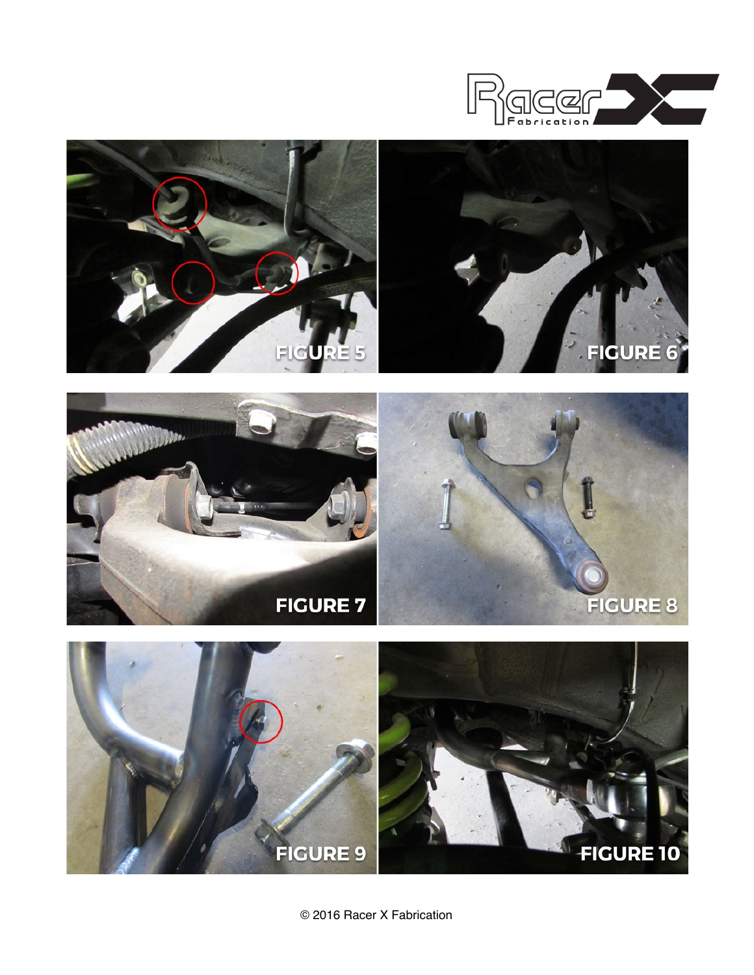







© 2016 Racer X Fabrication